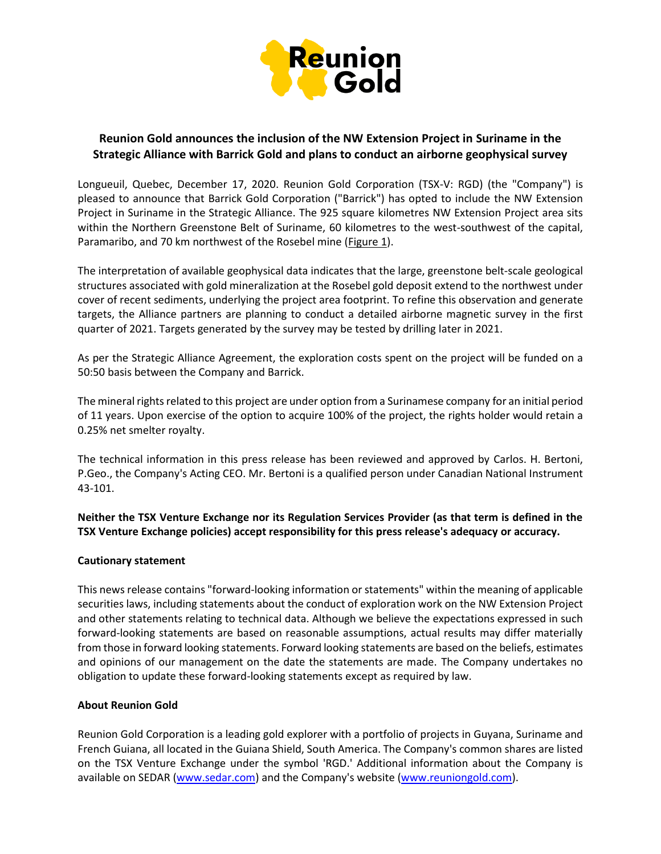

## **Reunion Gold announces the inclusion of the NW Extension Project in Suriname in the Strategic Alliance with Barrick Gold and plans to conduct an airborne geophysical survey**

Longueuil, Quebec, December 17, 2020. Reunion Gold Corporation (TSX-V: RGD) (the "Company") is pleased to announce that Barrick Gold Corporation ("Barrick") has opted to include the NW Extension Project in Suriname in the Strategic Alliance. The 925 square kilometres NW Extension Project area sits within the Northern Greenstone Belt of Suriname, 60 kilometres to the west-southwest of the capital, Paramaribo, and 70 km northwest of the Rosebel mine (Figure 1).

The interpretation of available geophysical data indicates that the large, greenstone belt-scale geological structures associated with gold mineralization at the Rosebel gold deposit extend to the northwest under cover of recent sediments, underlying the project area footprint. To refine this observation and generate targets, the Alliance partners are planning to conduct a detailed airborne magnetic survey in the first quarter of 2021. Targets generated by the survey may be tested by drilling later in 2021.

As per the Strategic Alliance Agreement, the exploration costs spent on the project will be funded on a 50:50 basis between the Company and Barrick.

The mineral rights related to this project are under option from a Surinamese company for an initial period of 11 years. Upon exercise of the option to acquire 100% of the project, the rights holder would retain a 0.25% net smelter royalty.

The technical information in this press release has been reviewed and approved by Carlos. H. Bertoni, P.Geo., the Company's Acting CEO. Mr. Bertoni is a qualified person under Canadian National Instrument 43-101.

**Neither the TSX Venture Exchange nor its Regulation Services Provider (as that term is defined in the TSX Venture Exchange policies) accept responsibility for this press release's adequacy or accuracy.**

## **Cautionary statement**

This news release contains "forward‐looking information or statements" within the meaning of applicable securities laws, including statements about the conduct of exploration work on the NW Extension Project and other statements relating to technical data. Although we believe the expectations expressed in such forward-looking statements are based on reasonable assumptions, actual results may differ materially from those in forward looking statements. Forward looking statements are based on the beliefs, estimates and opinions of our management on the date the statements are made. The Company undertakes no obligation to update these forward-looking statements except as required by law.

## **About Reunion Gold**

Reunion Gold Corporation is a leading gold explorer with a portfolio of projects in Guyana, Suriname and French Guiana, all located in the Guiana Shield, South America. The Company's common shares are listed on the TSX Venture Exchange under the symbol 'RGD.' Additional information about the Company is available on SEDAR [\(www.sedar.com\)](http://www.sedar.com/) and the Company's website [\(www.reuniongold.com\)](http://www.reuniongold.com/).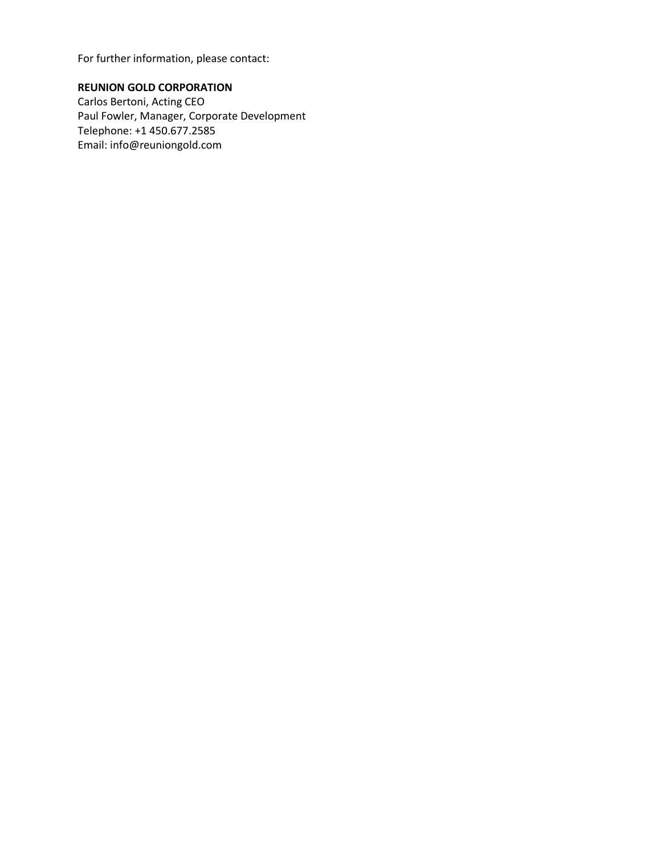For further information, please contact:

**REUNION GOLD CORPORATION**  Carlos Bertoni, Acting CEO Paul Fowler, Manager, Corporate Development Telephone: +1 450.677.2585 Email: [info@reuniongold.com](mailto:info@reuniongold.com)